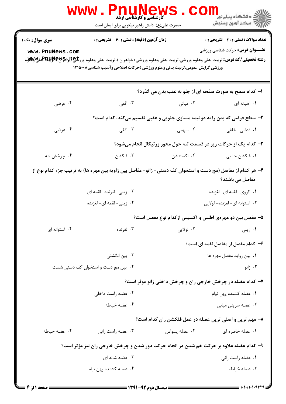| <b>www</b> .                              | <b>د کارشناسی و کارشناسی ارشد</b><br>حضرت علی(ع): دانش راهبر نیکویی برای ایمان است                                              |               | ڪ دانشڪاه پيام نور ■<br> 7- مرڪز آزمون وسنڊش                                 |
|-------------------------------------------|---------------------------------------------------------------------------------------------------------------------------------|---------------|------------------------------------------------------------------------------|
| <b>سری سوال :</b> یک ۱<br>www.PnuNews.com | <b>زمان آزمون (دقیقه) : تستی : 60 ٪ تشریحی : 0</b><br>ورزشی گرایش عمومی،تربیت بدنی وعلوم ورزشی (حرکات اصلاحی وآسیب شناسی۱۲۱۵۰۰۸ |               | تعداد سوالات : تستى : 30 قشريحى : 0<br><b>عنـــوان درس:</b> حرکت شناسی ورزشی |
|                                           |                                                                                                                                 |               | ا- کدام سطح به صورت صفحه ای از جلو به عقب بدن می گذرد؟                       |
| ۰۴ عرضی                                   | ۰۳ افقی                                                                                                                         | ۰۲ میانی      | ۱. آهیانه ای                                                                 |
|                                           |                                                                                                                                 |               | ۲- سطح فرضی که بدن را به دو نیمه مساوی جلویی و عقبی تقسیم میکند، کدام است؟   |
| ۰۴ عرضی                                   | ۰۳ افقی                                                                                                                         | ۰۲ سهمی       | ۰۱ قدامی- خلفی                                                               |
|                                           |                                                                                                                                 |               | ۳- کدام یک از حرکات زیر در قسمت تنه حول محور ورتیکال انجام میشود؟            |
| ۰۴ چرخش تنه                               | ۰۳ فلکشن                                                                                                                        | ۰۲ اکستنشن    | ٠١ فلكشن جانبي                                                               |
|                                           | ۴– هر کدام از مفاصل (مچ دست و استخوان کف دستی- زانو- مفاصل بین زاویه بین مهره ها) <u>به ترتیب</u> جزء کدام نوع از               |               | مفاصل می باشند؟                                                              |
|                                           | ۰۲ زینی- لغزنده- لقمه ای                                                                                                        |               | ۰۱ كروي- لقمه اي- لغزنده                                                     |
|                                           | ۴. زيني- لقمه اي- لغزنده                                                                                                        |               | ۰۳ استوانه ای- لغزنده- لولایی                                                |
|                                           |                                                                                                                                 |               | ۵– مفصل بین دو مهرهی اطلس و آکسیس ازکدام نوع مفصل است؟                       |
| ۰۴ استوانه ای                             | ۰۳ لغزنده                                                                                                                       | ۰۲ لولايي     | ۰۱ زینی                                                                      |
|                                           |                                                                                                                                 |               | ۶– کدام مفصل از مفاصل لقمه ای است؟                                           |
|                                           | ۰۲ بین انگشتی                                                                                                                   |               | ۰۱ بین زواید مفصل مهره ها                                                    |
|                                           | ۰۴ بین مچ دست و استخوان کف دستی شست                                                                                             |               | ۰۳ زانو                                                                      |
|                                           |                                                                                                                                 |               | ۷- کدام عضله در چرخش خارجی ران و چرخش داخلی زانو موثر است؟                   |
|                                           | ۰۲ عضله راست داخلی                                                                                                              |               | ۰۱ عضله کشنده پهن نيام                                                       |
|                                           | ۰۴ عضله خياطه                                                                                                                   |               | ۰۳ عضله سريني مياني                                                          |
|                                           |                                                                                                                                 |               | ۸- مهم ترین و اصلی ترین عضله در عمل فلکشن ران کدام است؟                      |
| ۰۴ عضله خیاطه                             | ۰۳ عضله راست رانی                                                                                                               | ٠٢ عضله پسواس | ۰۱ عضله خاصره ای                                                             |
|                                           | ۹- کدام عضله علاوه بر حرکت خم شدن در انجام حرکت دور شدن و چرخش خارجی ران نیز مؤثر است؟                                          |               |                                                                              |
|                                           | ۰۲ عضله شانه ای                                                                                                                 |               | ٠١ عضله راست راني                                                            |
|                                           | ۰۴ عضله کشنده پهن نيام                                                                                                          |               | ۰۳ عضله خیاطه                                                                |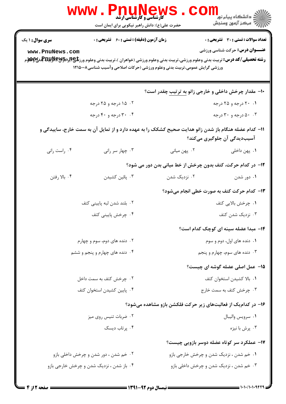| <b>WWW</b> .                              | <b>کارشناسی و کارشناسی ارشد</b><br>حضرت علی(ع): دانش راهبر نیکویی برای ایمان است |                                                                                                       | ڪ دانشڪاه پيا <sub>م</sub> نور<br>۾ مرڪز آزمون وسنڊش                                  |
|-------------------------------------------|----------------------------------------------------------------------------------|-------------------------------------------------------------------------------------------------------|---------------------------------------------------------------------------------------|
| <b>سری سوال : ۱ یک</b><br>www.PnuNews.com | <b>زمان آزمون (دقیقه) : تستی : 60 ٪ تشریحی : 0</b>                               | ورزشي گرايش عمومي،تربيت بدني وعلوم ورزشي (حركات اصلاحي وآسيب شناسي١٢١٥٠٠٨                             | <b>تعداد سوالات : تستی : 30 ٪ تشریحی : 0</b><br><b>عنـــوان درس:</b> حرکت شناسی ورزشی |
|                                           |                                                                                  | +۱- مقدار چرخش داخلی و خارجی زانو <u>به ترتیب</u> چقدر است؟                                           |                                                                                       |
|                                           | ۰۲ ۱۵ درجه و ۲۵ درجه                                                             |                                                                                                       | ۰۱ ۲۰ درجه و ۲۵ درجه                                                                  |
|                                           | ۰۴ تارجه و ۴۰ درجه                                                               |                                                                                                       | ۰۰۳ درجه و ۳۰ درجه                                                                    |
|                                           |                                                                                  | 11– کدام عضله هنگام باز شدن زانو هدایت صحیح کشکک را به عهده دارد و از تمایل آن به سمت خارج، ساییدگی و | آسیبدیدگی آن جلوگیری میکند؟                                                           |
| ۰۴ راست رانی                              | ۰۳ چهار سر رانی                                                                  | ۰۲ پهن مياني                                                                                          | ۰۱. پهن داخلی                                                                         |
|                                           |                                                                                  | 12- در کدام حرکت، کتف بدون چرخش از خط میانی بدن دور می شود؟                                           |                                                                                       |
| ۰۴ بالا رفتن                              | ۰۳ پائین کشیدن                                                                   | ۰۲ نزدیک شدن                                                                                          | ۰۱ دور شدن                                                                            |
|                                           |                                                                                  | ۱۳- کدام حرکت کتف به صورت خطی انجام میشود؟                                                            |                                                                                       |
|                                           | ۰۲ بلند شدن لبه پایینی کتف                                                       |                                                                                                       | ۰۱ چرخش بالایی کتف                                                                    |
|                                           | ۴. چرخش پایینی کتف                                                               |                                                                                                       | ۰۳ نزدیک شدن کتف                                                                      |
|                                           |                                                                                  |                                                                                                       | <b>۱۴</b> - مبدا عضله سینه ای کوچک کدام است؟                                          |
|                                           | ۲. دنده های دوم، سوم و چهارم                                                     |                                                                                                       | ۰۱ دنده های اول، دوم و سوم                                                            |
|                                           | ۰۴ دنده های چهارم و پنجم و ششم                                                   |                                                                                                       | ۰۳ دنده های سوم، چهارم و پنجم                                                         |
|                                           |                                                                                  |                                                                                                       | <b>۱۵</b> - عمل اصلی عضله گوشه ای چیست؟                                               |
|                                           | ۰۲ چرخش کتف به سمت داخل                                                          |                                                                                                       | ٠١. بالا كشيدن استخوان كتف                                                            |
|                                           | ۰۴ پایین کشیدن استخوان کتف                                                       |                                                                                                       | ۰۳ چرخش کتف به سمت خارج                                                               |
|                                           |                                                                                  | ۱۶- در کدامیک از فعالیتهای زیر حرکت فلکشن بازو مشاهده میشود؟                                          |                                                                                       |
|                                           | ۰۲ ضربات تنیس روی میز                                                            |                                                                                                       | ٠١ سرويس واليبال                                                                      |
|                                           | ۰۴ پرتاب دیسک                                                                    |                                                                                                       | ۰۳ پرش با نیزه                                                                        |
|                                           |                                                                                  |                                                                                                       | ۱۷- عملکرد سر کوتاه عضله دوسر بازویی چیست؟                                            |
|                                           | ۰۲ خم شدن ، دور شدن و چرخش داخلی بازو                                            | ۰۱ خم شدن ، نزدیک شدن و چرخش خارجی بازو                                                               |                                                                                       |
|                                           | ۰۴ باز شدن ، نزدیک شدن و چرخش خارجی بازو                                         | ۰۳ خم شدن ، نزدیک شدن و چرخش داخلی بازو                                                               |                                                                                       |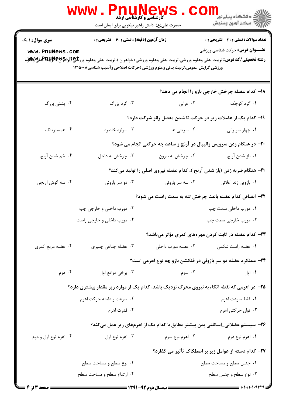|                                           | <b>www</b> .<br><b>Phunews</b><br><b>گارشناسی و کارشناسی ارشد</b><br>حضرت علی(ع): دانش راهبر نیکویی برای ایمان است              |                    | <sup>ان</sup> گ دانشگاه پيام نور "<br>  <i>  *</i><br>  # مرکز آزمون وسنجش                   |
|-------------------------------------------|---------------------------------------------------------------------------------------------------------------------------------|--------------------|----------------------------------------------------------------------------------------------|
| <b>سری سوال : ۱ یک</b><br>www.PnuNews.com | <b>زمان آزمون (دقیقه) : تستی : 60 ٪ تشریحی : 0</b><br>ورزشی گرایش عمومی،تربیت بدنی وعلوم ورزشی (حرکات اصلاحی وآسیب شناسی۱۲۱۵۰۰۸ |                    | <b>تعداد سوالات : تستی : 30 ٪ تشریحی : 0</b><br><b>عنـــوان درس:</b> حرکت شناسی ورزشی        |
|                                           |                                                                                                                                 |                    | 18- کدام عضله چرخش خارجی بازو را انجام می دهد؟                                               |
| ۰۴ پشتی بزرگ                              | ۰۳ گرد بزرگ                                                                                                                     | ۰۲ غرابی           | ۰۱ گرد کوچک                                                                                  |
|                                           |                                                                                                                                 |                    | ۱۹- کدام یک از عضلات زیر در حرکت تا شدن مفصل زانو شرکت دارد؟                                 |
| ۰۴ همسترینگ                               | ۰۳ سوئزه خاصره                                                                                                                  | ۰۲ سرینی ها        | ۰۱ چهار سر رانی                                                                              |
|                                           |                                                                                                                                 |                    | ۲۰- در هنگام زدن سرویس والیبال در آرنج و ساعد چه حرکتی انجام می شود؟                         |
| ۰۴ خم شدن آرنج                            | ۰۳ چرخش به داخل                                                                                                                 | ۰۲ چرخش به بیرون   | ٠١. باز شدن آرنج                                                                             |
|                                           |                                                                                                                                 |                    | <b>۲۱</b> - هنگام ضربه زدن (باز شدن آرنج )، کدام عضله نیروی اصلی را تولید میکند؟             |
| ۰۴ سه گوش آرنجي                           | ۰۳ دو سر بازوئی                                                                                                                 | ۰۲ سه سر بازوئی    | ۰۱ بازویی زند اعلائی                                                                         |
|                                           |                                                                                                                                 |                    | ۲۲- انقباض کدام عضله باعث چرخش تنه به سمت راست می شود؟                                       |
|                                           | ۰۲ مورب داخلی و خارجی چپ                                                                                                        |                    | ۰۱ مورب داخلی سمت چپ                                                                         |
|                                           | ۰۴ مورب داخلی و خارجی راست                                                                                                      |                    | ۰۳ مورب خارجی سمت چپ                                                                         |
|                                           |                                                                                                                                 |                    | ۲۳- کدام عضله در ثابت کردن مهرههای کمری مؤثر میباشد؟                                         |
| ۰۴ عضله مربع کمری                         | ۰۳ عضله جناغی چنبری                                                                                                             | ۰۲ عضله مورب داخلی | ٠١ عضله راست شكمي                                                                            |
|                                           |                                                                                                                                 |                    | <b>34- عملکرد عضله دو سر بازوئی در فلکشن بازو چه نوع اهرمی است؟</b>                          |
| ۰۴ دوم                                    | ۰۳ برخی مواقع اول                                                                                                               | ۰۲ سوم             | ۰۱ اول                                                                                       |
|                                           |                                                                                                                                 |                    | ۲۵– در اهرمی که نقطه اتکاء به نیروی محرک نزدیک باشد، کدام یک از موارد زیر مقدار بیشتری دارد؟ |
|                                           | ۰۲ سرعت و دامنه حرکت اهرم                                                                                                       |                    | ٠١. فقط سرعت اهرم                                                                            |
|                                           | ۰۴ قدرت اهرم                                                                                                                    |                    | ۰۳ توان حرکتی اهرم                                                                           |
|                                           |                                                                                                                                 |                    | ۲۶- سیستم عضلانی_اسکلتی بدن بیشتر مطابق با کدام یک از اهرمهای زیر عمل میکند؟                 |
| ۰۴ اهرم نوع اول و دوم                     | ۰۳ اهرم نوع اول                                                                                                                 | ۰۲ اهرم نوع سوم    | ۰۱ اهرم نوع دوم                                                                              |
|                                           |                                                                                                                                 |                    | <b>۲۷</b> – کدام دسته از عوامل زیر بر اصطکاک تأثیر می گذارد؟                                 |
|                                           | ۰۲ نوع سطح و مساحت سطح                                                                                                          |                    | ۰۱ جنس سطح و مساحت سطح                                                                       |
|                                           | ۰۴ ارتفاع سطح و مساحت سطح                                                                                                       |                    | ۰۳ نوع سطح و جنس سطح                                                                         |
| <b>صفحه 3 از 4</b>                        | <b>= نیمسال دوم ۹۲-۱۳۹۱ <del>=========</del></b>                                                                                |                    |                                                                                              |